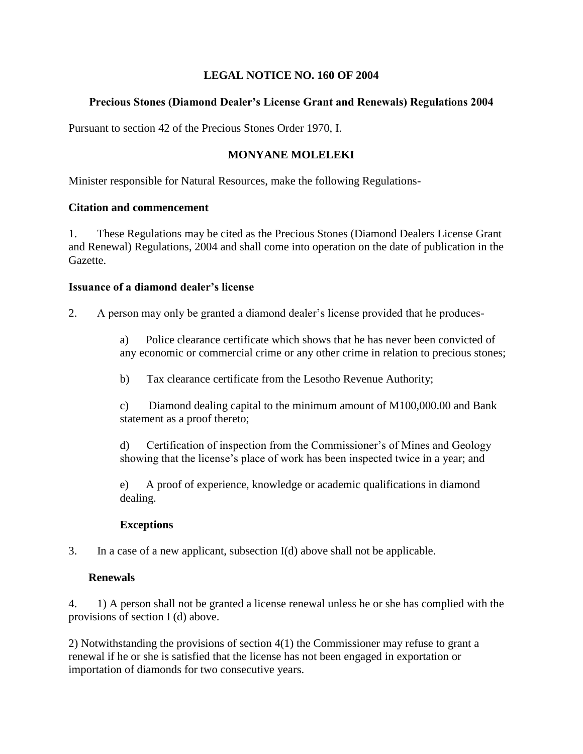## **LEGAL NOTICE NO. 160 OF 2004**

# **Precious Stones (Diamond Dealer's License Grant and Renewals) Regulations 2004**

Pursuant to section 42 of the Precious Stones Order 1970, I.

# **MONYANE MOLELEKI**

Minister responsible for Natural Resources, make the following Regulations-

#### **Citation and commencement**

1. These Regulations may be cited as the Precious Stones (Diamond Dealers License Grant and Renewal) Regulations, 2004 and shall come into operation on the date of publication in the Gazette.

#### **Issuance of a diamond dealer's license**

2. A person may only be granted a diamond dealer's license provided that he produces-

a) Police clearance certificate which shows that he has never been convicted of any economic or commercial crime or any other crime in relation to precious stones;

b) Tax clearance certificate from the Lesotho Revenue Authority;

c) Diamond dealing capital to the minimum amount of M100,000.00 and Bank statement as a proof thereto;

d) Certification of inspection from the Commissioner's of Mines and Geology showing that the license's place of work has been inspected twice in a year; and

e) A proof of experience, knowledge or academic qualifications in diamond dealing.

## **Exceptions**

3. In a case of a new applicant, subsection I(d) above shall not be applicable.

## **Renewals**

4. 1) A person shall not be granted a license renewal unless he or she has complied with the provisions of section I (d) above.

2) Notwithstanding the provisions of section 4(1) the Commissioner may refuse to grant a renewal if he or she is satisfied that the license has not been engaged in exportation or importation of diamonds for two consecutive years.